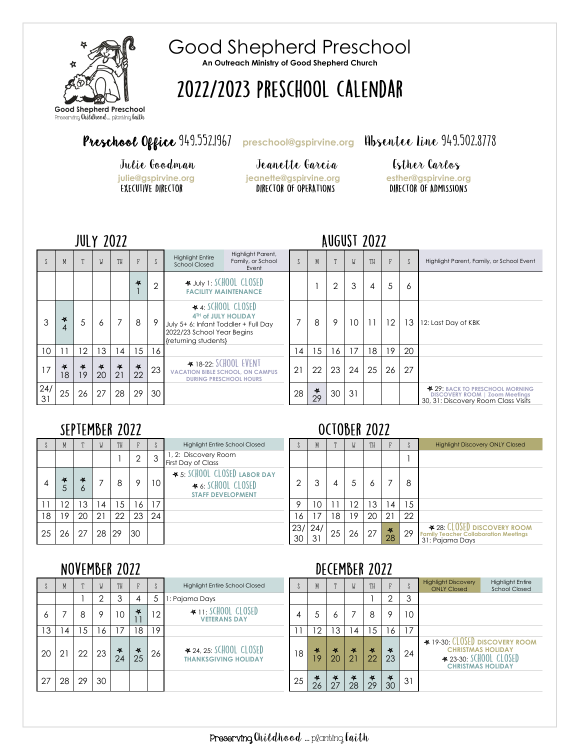

Good Shepherd Preschool **An Outreach Ministry of Good Shepherd Church**

# 2022/2023 PRESCHOOL CALENDAR

# Preschool Office 949.552.1967 [preschool@gspirvine.org](mailto:preschool@gspirvine.org) Hbsentee Line 949.502.8778

Ï

Julie Goodman Jeanette Garcia Esther Carlos<br>
<u>Julie@gspirvine.org</u> jeanette@gspirvine.org esther@gspirvine.org **julie@gspirvine.org jeanette@gspirvine.org esther@gspirvine.org**

#### **AUGUST 2022**

|                 | M            |               | W             | TH           |              | $\int$         | Highlight Parent,<br><b>Highlight Entire</b><br>Family, or School<br><b>School Closed</b><br>Event                                            |    | M            | m  | W  | TH |    |    | Highlight Parent, Family, or School Event                                                                       |
|-----------------|--------------|---------------|---------------|--------------|--------------|----------------|-----------------------------------------------------------------------------------------------------------------------------------------------|----|--------------|----|----|----|----|----|-----------------------------------------------------------------------------------------------------------------|
|                 |              |               |               |              | 长            | $\overline{2}$ | ₩ JULY 1: SCHOOL CLOSED<br><b>FACILITY MAINTENANCE</b>                                                                                        |    |              | 2  | 3  | 4  | 5  | Ô  |                                                                                                                 |
| 3               | 长<br>4       | 5             | 6             |              | 8            | 9              | $\star$ 4: SCHOOL CLOSED<br>4TH of JULY HOLIDAY<br>July 5+ 6: Infant Toddler + Full Day<br>2022/23 School Year Begins<br>{returning students} |    | 8            | 9  | 10 |    | 12 | 13 | 12: Last Day of KBK                                                                                             |
| 10 <sup>°</sup> |              | 12            | 13            | 14           | 15           | 16             |                                                                                                                                               | 14 | 15           | 16 | 17 | 18 | 19 | 20 |                                                                                                                 |
| 17              | $\ast$<br>18 | $\star$<br>19 | $\star$<br>20 | $\ast$<br>21 | $\ast$<br>22 | 23             | ₹ 18-22: SCHOOL EVENT<br><b>VACATION BIBLE SCHOOL, ON CAMPUS</b><br><b>DURING PRESCHOOL HOURS</b>                                             | 21 | 22           | 23 | 24 | 25 | 26 | 27 |                                                                                                                 |
| 24/<br>31       | 25           | 26            | 27            | 28           | 29           | 30             |                                                                                                                                               | 28 | $\ast$<br>29 | 30 | 31 |    |    |    | <b>* 29. BACK TO PRESCHOOL MORNING</b><br>DISCOVERY ROOM   Zoom Meetings<br>30, 31: Discovery Room Class Visits |

### SEPTEMBER 2022

| $\sim$ | M              | $\mathbf{m}$ | W  | TH | F  |    | <b>Highlight Entire School Closed</b>                                          |           | M         | $\mathbf{m}$ | W  | TH | F            |    |
|--------|----------------|--------------|----|----|----|----|--------------------------------------------------------------------------------|-----------|-----------|--------------|----|----|--------------|----|
|        |                |              |    |    | 2  | ঽ  | 1, 2: Discovery Room<br>First Day of Class                                     |           |           |              |    |    |              |    |
|        | 长              | 长<br>Ô       |    | 8  | 9  | 10 | ★ 5: SCHOOL CLOSED LABOR DAY<br>★ 6: SCHOOL CLOSED<br><b>STAFF DEVELOPMENT</b> | ∩         | 3         | 4            |    | 6  |              | 8  |
| 11     | $\overline{2}$ | ۱3           | 4  | 5  | 16 | 17 |                                                                                | 9         | 10        |              | 2  | 3  | 14           | 15 |
| 18     | ۰9             | 20           | 21 | 22 | 23 | 24 |                                                                                | 6         | 17        | 18           | 9  | 20 | 21           | 22 |
| 25     | 26             |              | 28 | 29 | 30 |    |                                                                                | 23/<br>30 | 24/<br>31 | 25           | 26 | 27 | $\ast$<br>28 | 29 |

### **OCTOBER 2022**

**NECEMBER 2022** 

|    | M            |              | N               | TH |    |    | <b>Highlight Entire School Closed</b>                                                |              | M  |    | W  | TH |                            |    | <b>Highlight Discovery ONLY Closed</b>                                                               |
|----|--------------|--------------|-----------------|----|----|----|--------------------------------------------------------------------------------------|--------------|----|----|----|----|----------------------------|----|------------------------------------------------------------------------------------------------------|
|    |              |              |                 |    |    | 3  | 1, 2: Discovery Room<br>First Day of Class                                           |              |    |    |    |    |                            |    |                                                                                                      |
|    | $\star$<br>C | 4<br>$\circ$ |                 | 8  | 9  | 10 | ★ 5: SCHOOL CLOSED LABOR DAY<br>$\star$ 6: SCHOOL CLOSED<br><b>STAFF DEVELOPMENT</b> | ∩            |    | 4  | 5  | Ô  |                            | 8  |                                                                                                      |
|    | 12           | 3            | $\overline{14}$ | ۱5 | 16 | 17 |                                                                                      |              | 10 |    | 2  | 3  | (4)                        | 15 |                                                                                                      |
| 8  | 19           | 20           | 21              | 22 | 23 | 24 |                                                                                      | 16           |    | 18 | 19 | 20 | 21                         | 22 |                                                                                                      |
| .5 | 26           | 27           | 28              | 29 | 30 |    |                                                                                      | 23/24/<br>30 | 31 | 25 | 26 | 27 | $\ddot{\phantom{1}}$<br>28 | 29 | <b>428: CLOSED DISCOVERY ROOM</b><br><b>Family Teacher Collaboration Meetings</b><br>31: Pajama Days |

### NOVEMBER 2022

|    |                | IVVILIIVLII <i>l</i> vll |    |              |                     |    |                                                          |    |         |                     |                     | UL\LIIULII <i>l</i> ull |                           |    |                                                                                                                  |                                                 |
|----|----------------|--------------------------|----|--------------|---------------------|----|----------------------------------------------------------|----|---------|---------------------|---------------------|-------------------------|---------------------------|----|------------------------------------------------------------------------------------------------------------------|-------------------------------------------------|
|    | M              |                          | W  | TH           |                     |    | <b>Highlight Entire School Closed</b>                    |    | M       | $\mathbf{r}$        | W                   | TH                      |                           |    | <b>Highlight Discovery</b><br><b>ONLY Closed</b>                                                                 | <b>Highlight Entire</b><br><b>School Closed</b> |
|    |                |                          |    | 3            | 4                   | .5 | 1: Pajama Days                                           |    |         |                     |                     |                         | ↷                         |    |                                                                                                                  |                                                 |
| Ô  |                | 8                        | 9  | 10           | 长                   | 12 | $\star$ 11: SCHOOL CLOSED<br><b>VETERANS DAY</b>         |    | 5       | Ô                   |                     | 8                       | 9                         | 10 |                                                                                                                  |                                                 |
| 13 | $\overline{4}$ | 15                       | 16 |              | 18                  | 19 |                                                          |    | 12      | 13                  | $\overline{4}$      | 15                      | 16                        | 17 |                                                                                                                  |                                                 |
| 20 | 21             | 22                       | 23 | $\ast$<br>24 | $\frac{1}{2}$<br>25 | 26 | $*$ 24, 25: SCHOOL CLOSED<br><b>THANKSGIVING HOLIDAY</b> | 18 | 长<br>19 | $\frac{1}{2}$<br>20 | $\frac{1}{2}$<br>21 | 长<br>22                 | $\boldsymbol{\ast}$<br>23 | 24 | ₹ 19-30: CLOSED DISCOVERY ROOM<br><b>CHRISTMAS HOLIDAY</b><br>₹ 23-30: SCHOOL CLOSED<br><b>CHRISTMAS HOLIDAY</b> |                                                 |
| 27 | 28             | 29                       | 30 |              |                     |    |                                                          | 25 | 长<br>26 | $\frac{1}{2}$<br>27 | $\star$<br>28       | $\ast$<br>29            | $\ast$<br>30              | 31 |                                                                                                                  |                                                 |